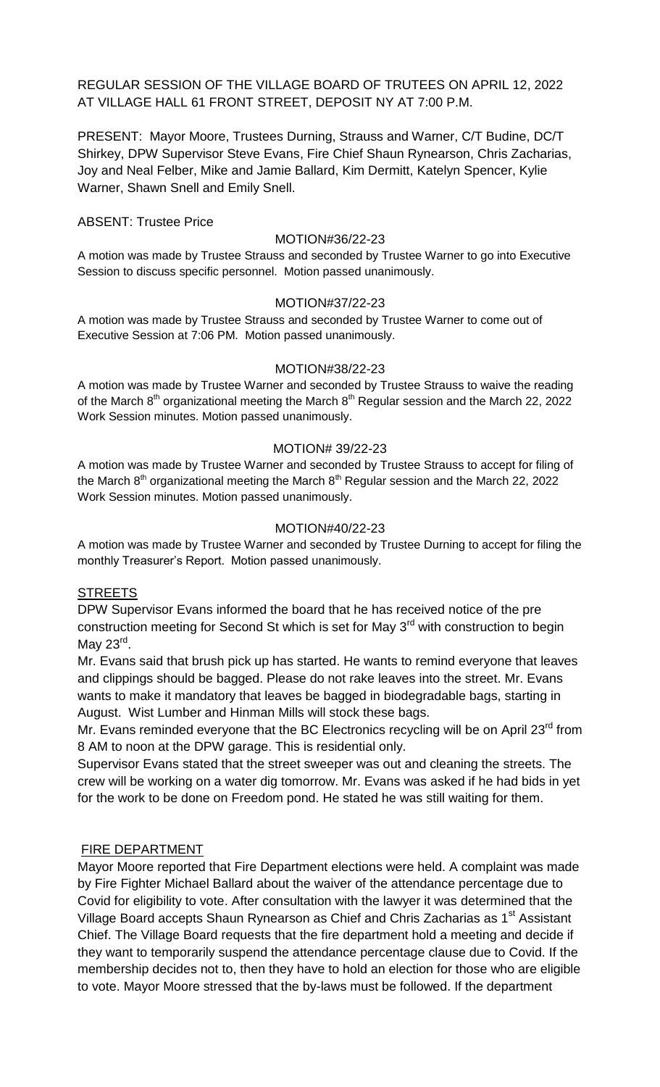REGULAR SESSION OF THE VILLAGE BOARD OF TRUTEES ON APRIL 12, 2022 AT VILLAGE HALL 61 FRONT STREET, DEPOSIT NY AT 7:00 P.M.

PRESENT: Mayor Moore, Trustees Durning, Strauss and Warner, C/T Budine, DC/T Shirkey, DPW Supervisor Steve Evans, Fire Chief Shaun Rynearson, Chris Zacharias, Joy and Neal Felber, Mike and Jamie Ballard, Kim Dermitt, Katelyn Spencer, Kylie Warner, Shawn Snell and Emily Snell.

## ABSENT: Trustee Price

### MOTION#36/22-23

A motion was made by Trustee Strauss and seconded by Trustee Warner to go into Executive Session to discuss specific personnel. Motion passed unanimously.

### MOTION#37/22-23

A motion was made by Trustee Strauss and seconded by Trustee Warner to come out of Executive Session at 7:06 PM. Motion passed unanimously.

#### MOTION#38/22-23

A motion was made by Trustee Warner and seconded by Trustee Strauss to waive the reading of the March  $8<sup>th</sup>$  organizational meeting the March  $8<sup>th</sup>$  Regular session and the March 22, 2022 Work Session minutes. Motion passed unanimously.

### MOTION# 39/22-23

A motion was made by Trustee Warner and seconded by Trustee Strauss to accept for filing of the March  $8<sup>th</sup>$  organizational meeting the March  $8<sup>th</sup>$  Regular session and the March 22, 2022 Work Session minutes. Motion passed unanimously.

### MOTION#40/22-23

A motion was made by Trustee Warner and seconded by Trustee Durning to accept for filing the monthly Treasurer's Report. Motion passed unanimously.

### **STREETS**

DPW Supervisor Evans informed the board that he has received notice of the pre construction meeting for Second St which is set for May 3<sup>rd</sup> with construction to begin May 23<sup>rd</sup>.

Mr. Evans said that brush pick up has started. He wants to remind everyone that leaves and clippings should be bagged. Please do not rake leaves into the street. Mr. Evans wants to make it mandatory that leaves be bagged in biodegradable bags, starting in August. Wist Lumber and Hinman Mills will stock these bags.

Mr. Evans reminded everyone that the BC Electronics recycling will be on April  $23^{\text{rd}}$  from 8 AM to noon at the DPW garage. This is residential only.

Supervisor Evans stated that the street sweeper was out and cleaning the streets. The crew will be working on a water dig tomorrow. Mr. Evans was asked if he had bids in yet for the work to be done on Freedom pond. He stated he was still waiting for them.

### FIRE DEPARTMENT

Mayor Moore reported that Fire Department elections were held. A complaint was made by Fire Fighter Michael Ballard about the waiver of the attendance percentage due to Covid for eligibility to vote. After consultation with the lawyer it was determined that the Village Board accepts Shaun Rynearson as Chief and Chris Zacharias as 1<sup>st</sup> Assistant Chief. The Village Board requests that the fire department hold a meeting and decide if they want to temporarily suspend the attendance percentage clause due to Covid. If the membership decides not to, then they have to hold an election for those who are eligible to vote. Mayor Moore stressed that the by-laws must be followed. If the department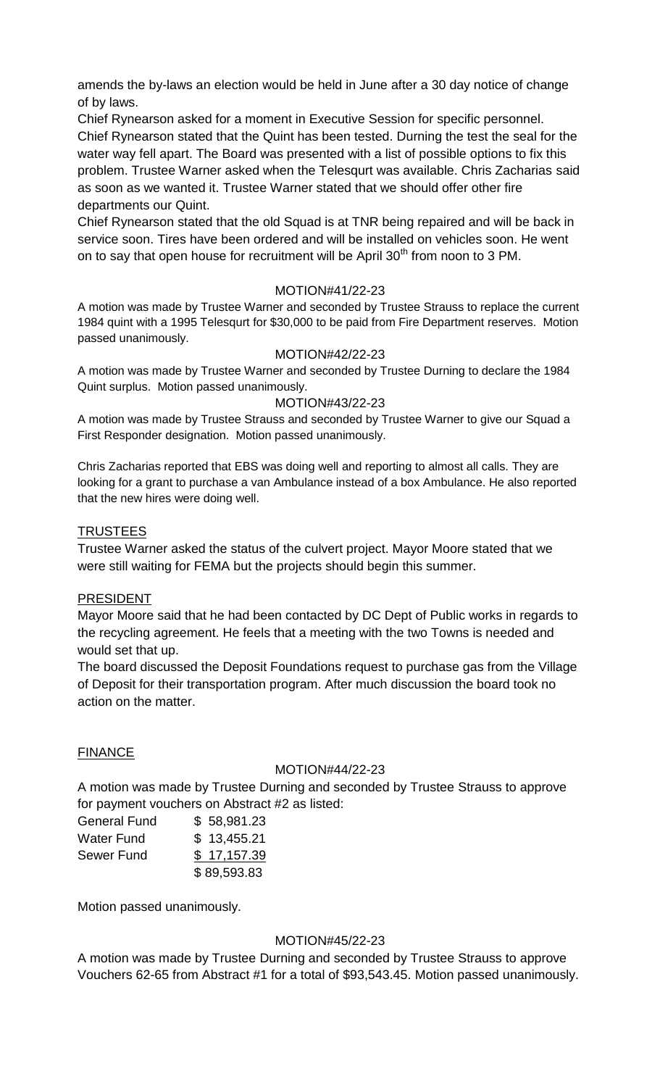amends the by-laws an election would be held in June after a 30 day notice of change of by laws.

Chief Rynearson asked for a moment in Executive Session for specific personnel. Chief Rynearson stated that the Quint has been tested. Durning the test the seal for the water way fell apart. The Board was presented with a list of possible options to fix this problem. Trustee Warner asked when the Telesqurt was available. Chris Zacharias said as soon as we wanted it. Trustee Warner stated that we should offer other fire departments our Quint.

Chief Rynearson stated that the old Squad is at TNR being repaired and will be back in service soon. Tires have been ordered and will be installed on vehicles soon. He went on to say that open house for recruitment will be April 30<sup>th</sup> from noon to 3 PM.

## MOTION#41/22-23

A motion was made by Trustee Warner and seconded by Trustee Strauss to replace the current 1984 quint with a 1995 Telesqurt for \$30,000 to be paid from Fire Department reserves. Motion passed unanimously.

## MOTION#42/22-23

A motion was made by Trustee Warner and seconded by Trustee Durning to declare the 1984 Quint surplus. Motion passed unanimously.

### MOTION#43/22-23

A motion was made by Trustee Strauss and seconded by Trustee Warner to give our Squad a First Responder designation. Motion passed unanimously.

Chris Zacharias reported that EBS was doing well and reporting to almost all calls. They are looking for a grant to purchase a van Ambulance instead of a box Ambulance. He also reported that the new hires were doing well.

## **TRUSTEES**

Trustee Warner asked the status of the culvert project. Mayor Moore stated that we were still waiting for FEMA but the projects should begin this summer.

### PRESIDENT

Mayor Moore said that he had been contacted by DC Dept of Public works in regards to the recycling agreement. He feels that a meeting with the two Towns is needed and would set that up.

The board discussed the Deposit Foundations request to purchase gas from the Village of Deposit for their transportation program. After much discussion the board took no action on the matter.

# **FINANCE**

### MOTION#44/22-23

A motion was made by Trustee Durning and seconded by Trustee Strauss to approve for payment vouchers on Abstract #2 as listed:

| <b>General Fund</b> | \$58,981.23 |
|---------------------|-------------|
| <b>Water Fund</b>   | \$13,455.21 |
| Sewer Fund          | \$17,157.39 |
|                     | \$89,593.83 |

Motion passed unanimously.

# MOTION#45/22-23

A motion was made by Trustee Durning and seconded by Trustee Strauss to approve Vouchers 62-65 from Abstract #1 for a total of \$93,543.45. Motion passed unanimously.